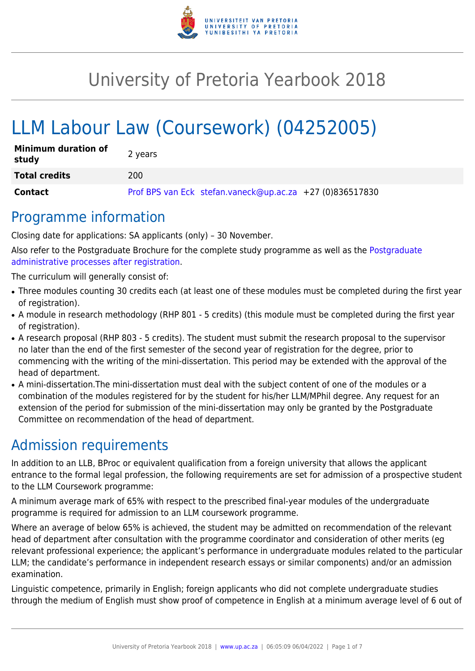

# University of Pretoria Yearbook 2018

# LLM Labour Law (Coursework) (04252005)

| <b>Minimum duration of</b><br>study | 2 years                                                  |
|-------------------------------------|----------------------------------------------------------|
| <b>Total credits</b>                | 200                                                      |
| <b>Contact</b>                      | Prof BPS van Eck stefan.vaneck@up.ac.za +27 (0)836517830 |

### Programme information

Closing date for applications: SA applicants (only) – 30 November.

Also refer to the Postgraduate Brochure for the complete study programme as well as the [Postgraduate](http://www.up.ac.za/media/shared/10/ZP_Files/post-graduate-administrative-processes-brochures-for-the-faculty-web.zp124870.pdf) [administrative processes after registration.](http://www.up.ac.za/media/shared/10/ZP_Files/post-graduate-administrative-processes-brochures-for-the-faculty-web.zp124870.pdf)

The curriculum will generally consist of:

- Three modules counting 30 credits each (at least one of these modules must be completed during the first year of registration).
- A module in research methodology (RHP 801 5 credits) (this module must be completed during the first year of registration).
- A research proposal (RHP 803 5 credits). The student must submit the research proposal to the supervisor no later than the end of the first semester of the second year of registration for the degree, prior to commencing with the writing of the mini-dissertation. This period may be extended with the approval of the head of department.
- A mini-dissertation. The mini-dissertation must deal with the subject content of one of the modules or a combination of the modules registered for by the student for his/her LLM/MPhil degree. Any request for an extension of the period for submission of the mini-dissertation may only be granted by the Postgraduate Committee on recommendation of the head of department.

## Admission requirements

In addition to an LLB, BProc or equivalent qualification from a foreign university that allows the applicant entrance to the formal legal profession, the following requirements are set for admission of a prospective student to the LLM Coursework programme:

A minimum average mark of 65% with respect to the prescribed final-year modules of the undergraduate programme is required for admission to an LLM coursework programme.

Where an average of below 65% is achieved, the student may be admitted on recommendation of the relevant head of department after consultation with the programme coordinator and consideration of other merits (eg relevant professional experience; the applicant's performance in undergraduate modules related to the particular LLM; the candidate's performance in independent research essays or similar components) and/or an admission examination.

Linguistic competence, primarily in English; foreign applicants who did not complete undergraduate studies through the medium of English must show proof of competence in English at a minimum average level of 6 out of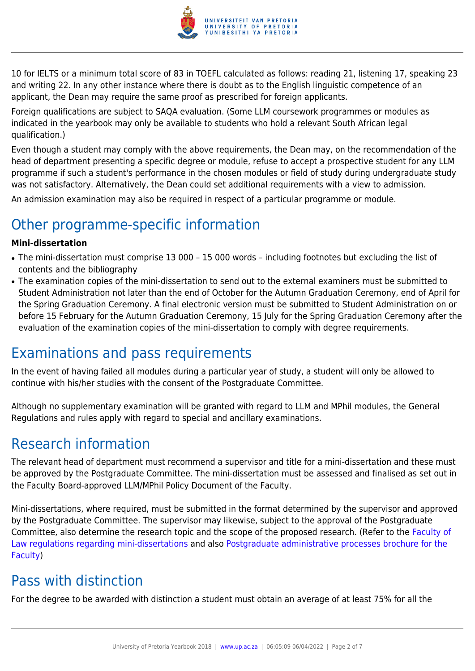

10 for IELTS or a minimum total score of 83 in TOEFL calculated as follows: reading 21, listening 17, speaking 23 and writing 22. In any other instance where there is doubt as to the English linguistic competence of an applicant, the Dean may require the same proof as prescribed for foreign applicants.

Foreign qualifications are subject to SAQA evaluation. (Some LLM coursework programmes or modules as indicated in the yearbook may only be available to students who hold a relevant South African legal qualification.)

Even though a student may comply with the above requirements, the Dean may, on the recommendation of the head of department presenting a specific degree or module, refuse to accept a prospective student for any LLM programme if such a student's performance in the chosen modules or field of study during undergraduate study was not satisfactory. Alternatively, the Dean could set additional requirements with a view to admission.

An admission examination may also be required in respect of a particular programme or module.

## Other programme-specific information

#### **Mini-dissertation**

- The mini-dissertation must comprise 13 000 15 000 words including footnotes but excluding the list of contents and the bibliography
- The examination copies of the mini-dissertation to send out to the external examiners must be submitted to Student Administration not later than the end of October for the Autumn Graduation Ceremony, end of April for the Spring Graduation Ceremony. A final electronic version must be submitted to Student Administration on or before 15 February for the Autumn Graduation Ceremony, 15 July for the Spring Graduation Ceremony after the evaluation of the examination copies of the mini-dissertation to comply with degree requirements.

### Examinations and pass requirements

In the event of having failed all modules during a particular year of study, a student will only be allowed to continue with his/her studies with the consent of the Postgraduate Committee.

Although no supplementary examination will be granted with regard to LLM and MPhil modules, the General Regulations and rules apply with regard to special and ancillary examinations.

### Research information

The relevant head of department must recommend a supervisor and title for a mini-dissertation and these must be approved by the Postgraduate Committee. The mini-dissertation must be assessed and finalised as set out in the Faculty Board-approved LLM/MPhil Policy Document of the Faculty.

Mini-dissertations, where required, must be submitted in the format determined by the supervisor and approved by the Postgraduate Committee. The supervisor may likewise, subject to the approval of the Postgraduate Committee, also determine the research topic and the scope of the proposed research. (Refer to the [Faculty of](http://www.up.ac.za/media/shared/10/ZP_Files/faculty-regulations-for-the-mini-dissertation.zp124872.pdf) [Law regulations regarding mini-dissertations](http://www.up.ac.za/media/shared/10/ZP_Files/faculty-regulations-for-the-mini-dissertation.zp124872.pdf) and also [Postgraduate administrative processes brochure for the](http://www.up.ac.za/media/shared/10/ZP_Files/post-graduate-administrative-processes-brochures-for-the-faculty-web.zp124870.pdf) [Faculty](http://www.up.ac.za/media/shared/10/ZP_Files/post-graduate-administrative-processes-brochures-for-the-faculty-web.zp124870.pdf))

### Pass with distinction

For the degree to be awarded with distinction a student must obtain an average of at least 75% for all the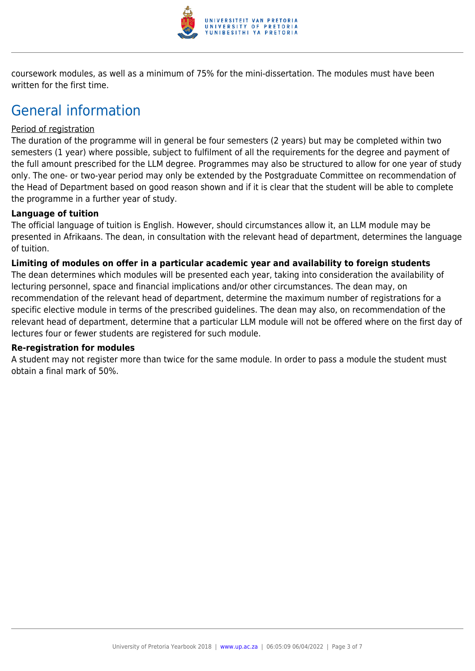

coursework modules, as well as a minimum of 75% for the mini-dissertation. The modules must have been written for the first time.

### General information

#### Period of registration

The duration of the programme will in general be four semesters (2 years) but may be completed within two semesters (1 year) where possible, subject to fulfilment of all the requirements for the degree and payment of the full amount prescribed for the LLM degree. Programmes may also be structured to allow for one year of study only. The one- or two-year period may only be extended by the Postgraduate Committee on recommendation of the Head of Department based on good reason shown and if it is clear that the student will be able to complete the programme in a further year of study.

#### **Language of tuition**

The official language of tuition is English. However, should circumstances allow it, an LLM module may be presented in Afrikaans. The dean, in consultation with the relevant head of department, determines the language of tuition.

#### **Limiting of modules on offer in a particular academic year and availability to foreign students**

The dean determines which modules will be presented each year, taking into consideration the availability of lecturing personnel, space and financial implications and/or other circumstances. The dean may, on recommendation of the relevant head of department, determine the maximum number of registrations for a specific elective module in terms of the prescribed guidelines. The dean may also, on recommendation of the relevant head of department, determine that a particular LLM module will not be offered where on the first day of lectures four or fewer students are registered for such module.

#### **Re-registration for modules**

A student may not register more than twice for the same module. In order to pass a module the student must obtain a final mark of 50%.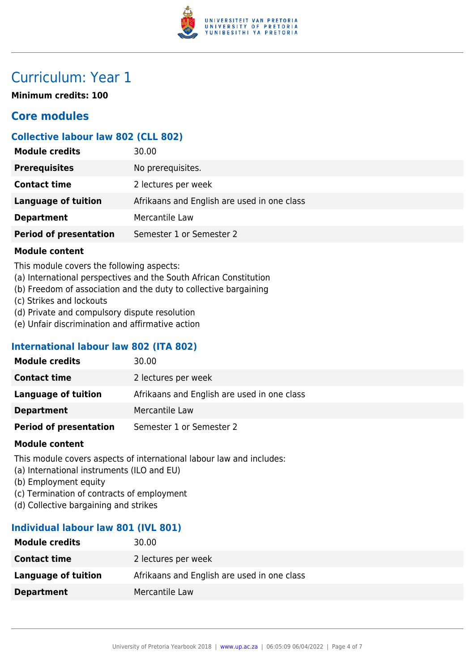

### Curriculum: Year 1

**Minimum credits: 100**

### **Core modules**

#### **Collective labour law 802 (CLL 802)**

| 30.00                                       |
|---------------------------------------------|
| No prerequisites.                           |
| 2 lectures per week                         |
| Afrikaans and English are used in one class |
| Mercantile Law                              |
| Semester 1 or Semester 2                    |
|                                             |

#### **Module content**

This module covers the following aspects:

- (a) International perspectives and the South African Constitution
- (b) Freedom of association and the duty to collective bargaining
- (c) Strikes and lockouts
- (d) Private and compulsory dispute resolution
- (e) Unfair discrimination and affirmative action

#### **International labour law 802 (ITA 802)**

| 30.00                                       |
|---------------------------------------------|
| 2 lectures per week                         |
| Afrikaans and English are used in one class |
| Mercantile Law                              |
| Semester 1 or Semester 2                    |
|                                             |

#### **Module content**

This module covers aspects of international labour law and includes:

- (a) International instruments (ILO and EU)
- (b) Employment equity
- (c) Termination of contracts of employment
- (d) Collective bargaining and strikes

#### **Individual labour law 801 (IVL 801)**

| <b>Module credits</b> | 30.00                                       |
|-----------------------|---------------------------------------------|
| <b>Contact time</b>   | 2 lectures per week                         |
| Language of tuition   | Afrikaans and English are used in one class |
| <b>Department</b>     | Mercantile Law                              |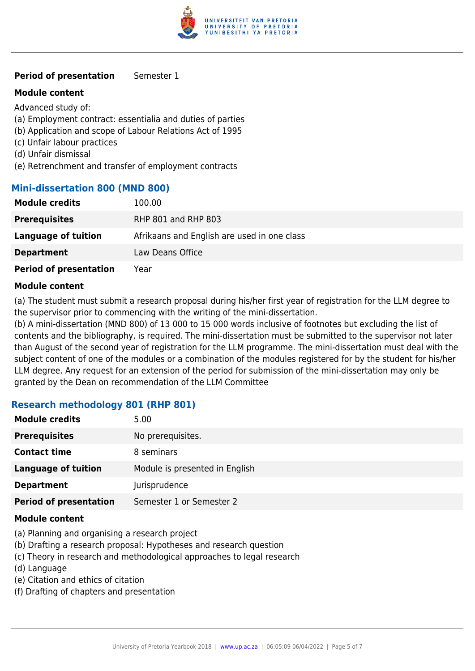

#### **Period of presentation** Semester 1

#### **Module content**

Advanced study of:

- (a) Employment contract: essentialia and duties of parties
- (b) Application and scope of Labour Relations Act of 1995
- (c) Unfair labour practices
- (d) Unfair dismissal
- (e) Retrenchment and transfer of employment contracts

#### **Mini-dissertation 800 (MND 800)**

| <b>Module credits</b>         | 100.00                                      |
|-------------------------------|---------------------------------------------|
| <b>Prerequisites</b>          | <b>RHP 801 and RHP 803</b>                  |
| Language of tuition           | Afrikaans and English are used in one class |
| <b>Department</b>             | Law Deans Office                            |
| <b>Period of presentation</b> | Year                                        |

#### **Module content**

(a) The student must submit a research proposal during his/her first year of registration for the LLM degree to the supervisor prior to commencing with the writing of the mini-dissertation.

(b) A mini-dissertation (MND 800) of 13 000 to 15 000 words inclusive of footnotes but excluding the list of contents and the bibliography, is required. The mini-dissertation must be submitted to the supervisor not later than August of the second year of registration for the LLM programme. The mini-dissertation must deal with the subject content of one of the modules or a combination of the modules registered for by the student for his/her LLM degree. Any request for an extension of the period for submission of the mini-dissertation may only be granted by the Dean on recommendation of the LLM Committee

#### **Research methodology 801 (RHP 801)**

| <b>Module credits</b>         | 5.00                           |
|-------------------------------|--------------------------------|
| <b>Prerequisites</b>          | No prerequisites.              |
| <b>Contact time</b>           | 8 seminars                     |
| <b>Language of tuition</b>    | Module is presented in English |
| <b>Department</b>             | Jurisprudence                  |
| <b>Period of presentation</b> | Semester 1 or Semester 2       |

#### **Module content**

- (a) Planning and organising a research project
- (b) Drafting a research proposal: Hypotheses and research question
- (c) Theory in research and methodological approaches to legal research
- (d) Language
- (e) Citation and ethics of citation
- (f) Drafting of chapters and presentation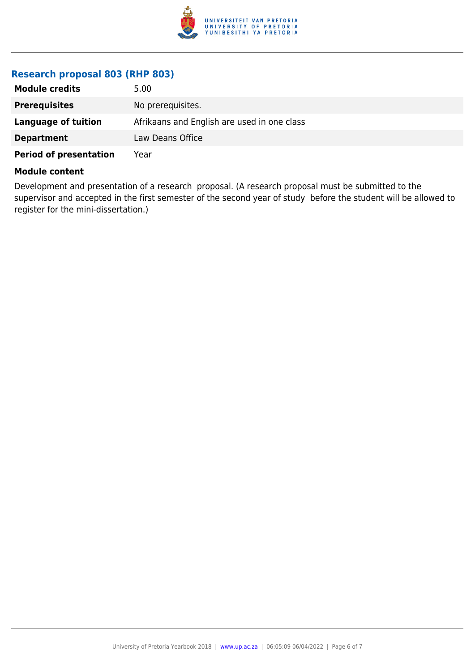

#### **Research proposal 803 (RHP 803)**

| <b>Module credits</b>         | 5.00                                        |
|-------------------------------|---------------------------------------------|
| <b>Prerequisites</b>          | No prerequisites.                           |
| Language of tuition           | Afrikaans and English are used in one class |
| <b>Department</b>             | Law Deans Office                            |
| <b>Period of presentation</b> | Year                                        |

#### **Module content**

Development and presentation of a research proposal. (A research proposal must be submitted to the supervisor and accepted in the first semester of the second year of study before the student will be allowed to register for the mini-dissertation.)